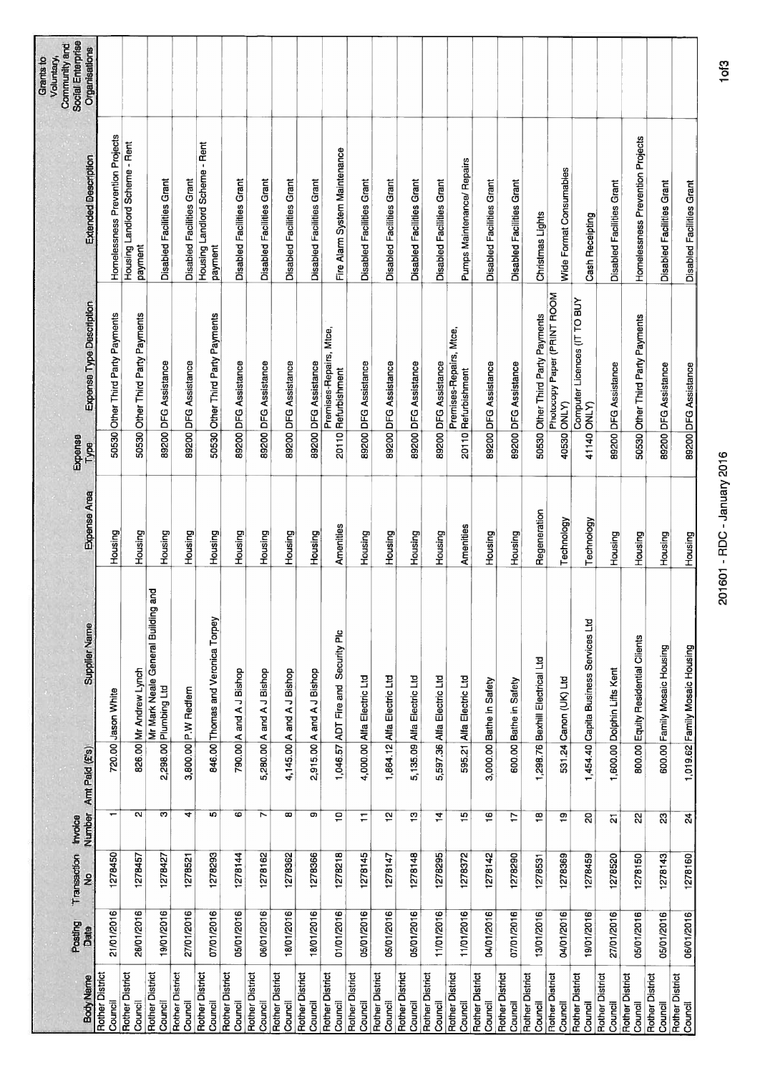| <b>Body Name</b>       | <b>Posting</b><br>Date | Transaction<br>$\frac{9}{2}$ | Number<br>Invoice       | Amt Paid (£'s) | <b>Supplier Name</b>                                        | Expense Area | Expense<br>Type | Expense Type Description                       | Extended Description                      | Social Enterprise<br>Community and<br>Organisations<br>Voluntary, |
|------------------------|------------------------|------------------------------|-------------------------|----------------|-------------------------------------------------------------|--------------|-----------------|------------------------------------------------|-------------------------------------------|-------------------------------------------------------------------|
| Rother District        | 21/01/2016             | 1278450                      |                         |                | 720.00 Jason White                                          | Housing      |                 | 50530 Other Third Party Payments               | Homelessness Prevention Projects          |                                                                   |
| <b>Rother District</b> | 26/01/2016             | 1278457                      | N                       |                | 826.00 Mr Andrew Lynch                                      | Housing      |                 | 50530 Other Third Party Payments               | Housing Landlord Scheme - Rent<br>payment |                                                                   |
| <b>Rother District</b> | 19/01/2016             | 1278427                      | w                       |                | Mr Mark Neale General Building and<br>2,298.00 Plumbing Ltd | Housing      |                 | 89200 DFG Assistance                           | Disabled Facilities Grant                 |                                                                   |
| Rother District        | 27/01/2016             | 1278521                      | 4                       |                | 3,800.00 P.W Redfern                                        | Housing      |                 | 89200 DFG Assistance                           | Disabled Facilities Grant                 |                                                                   |
| Rother District        | 07/01/2016             | 1278293                      | Ю                       |                | 846.00 Thomas and Veronica Torpey                           | Housing      |                 | 50530 Other Third Party Payments               | Housing Landlord Scheme - Rent<br>payment |                                                                   |
| Rother District        | 05/01/2016             | 1278144                      | 6                       |                | 790.00 A and A J Bishop                                     | Housing      |                 | 89200 DFG Assistance                           | Disabled Facilities Grant                 |                                                                   |
| <b>Rother District</b> | 06/01/2016             | 1278162                      | Ľ                       |                | 5,280.00 A and A J Bishop                                   | Housing      |                 | 89200 DFG Assistance                           | Disabled Facilities Grant                 |                                                                   |
| Rother District        | 18/01/2016             | 1278362                      | œ                       |                | 4,145.00 A and A J Bishop                                   | Housing      |                 | 89200 DFG Assistance                           | <b>Disabled Facilities Grant</b>          |                                                                   |
| <b>Rother District</b> | 18/01/2016             | 1278366                      | o                       |                | 2,915.00 A and A J Bishop                                   | Housing      |                 | 89200 DFG Assistance                           | Disabled Facilities Grant                 |                                                                   |
| <b>Rother District</b> | 01/01/2016             | 1278218                      | ë                       |                | 1,046.57 ADT Fire and Security Plc                          | Amenities    |                 | Premises-Repairs, Mtce,<br>20110 Returbishment | Fire Alarm System Maintenance             |                                                                   |
| Rother District        | 05/01/2016             | 1278145                      | Ξ                       |                | 4,000.00 Alfa Electric Ltd                                  | Housing      |                 | 89200 DFG Assistance                           | Disabled Facilities Grant                 |                                                                   |
| <b>Rother District</b> | 05/01/2016             | 1278147                      | 흳                       |                | 1,864.12 Alfa Electric Ltd                                  | Housing      |                 | 89200 DFG Assistance                           | Disabled Facilities Grant                 |                                                                   |
| Rother District        | 05/01/2016             | 1278148                      | مبر<br>ب                |                | 5,135.09 Alfa Electric Ltd                                  | Housing      |                 | 89200 DFG Assistance                           | <b>Disabled Facilities Grant</b>          |                                                                   |
| Rother District        | 11/01/2016             | 1278295                      | 4                       |                | 5,597.36 Alfa Electric Ltd                                  | Housing      |                 | 89200 DFG Assistance                           | Disabled Facilities Grant                 |                                                                   |
| Rother District        | 11/01/2016             | 1278372                      | $\frac{15}{2}$          |                | 595.21 Alfa Electric Ltd                                    | Amenities    |                 | Premises-Repairs, Mtce,<br>20110 Refurbishment | Pumps Maintenance/ Repairs                |                                                                   |
| <b>Rother District</b> | 04/01/2016             | 1278142                      | $\overline{9}$          |                | 3,000.00 Bathe in Safety                                    | Housing      |                 | 89200 DFG Assistance                           | Disabled Facilities Grant                 |                                                                   |
| <b>Rother District</b> | 07/01/2016             | 1278290                      | ₽                       |                | 600.00 Bathe in Safety                                      | Housing      |                 | 89200 DFG Assistance                           | Disabled Facilities Grant                 |                                                                   |
| Rother District        | 13/01/2016             | 1278531                      | $\frac{1}{2}$           |                | 1,298.76 Bexhill Electrical Ltd                             | Regeneration |                 | 50530 Other Third Party Payments               | Christmas Lights                          |                                                                   |
| <b>Rother District</b> | 04/01/2016             | 1278369                      | پ                       |                | 531.24 Canon (UK) Ltd                                       | Technology   |                 | Photocopy Paper (PRINT ROOM<br>40530 ONLY)     | Wide Format Consumables                   |                                                                   |
| <b>Rother District</b> | 19/01/2016             | 1278459                      | ន                       |                | 1,454.40 Capita Business Services Ltd                       | Technology   |                 | Computer Licences (IT TO BUY<br>41140 ONLY)    | Cash Receipting                           |                                                                   |
| Rother District        | 27/01/2016             | 1278520                      | 21                      |                | 1,600.00 Dolphin Lifts Kent                                 | Housing      |                 | 89200 DFG Assistance                           | <b>Disabled Facilities Grant</b>          |                                                                   |
| Rother District        | 05/01/2016             | 1278150                      | 2                       |                | 800.00 Equity Residential Clients                           | Housing      |                 | 50530 Other Third Party Payments               | Homelessness Prevention Projects          |                                                                   |
| Rother District        | 05/01/2016             | 1278143                      | $\overline{\mathbb{S}}$ |                | 600.00 Family Mosaic Housing                                | Housing      |                 | 89200 DFG Assistance                           | Disabled Facilities Grant                 |                                                                   |
| Rother District        | 06/01/2016             | 1278160                      | $\overline{a}$          |                | 1,019.62 Family Mosaic Housing                              | Housing      |                 | 89200 DFG Assistance                           | <b>Disabled Facilities Grant</b>          |                                                                   |

201601 - RDC - January 2016 lof3 201601 - RDC - January 2016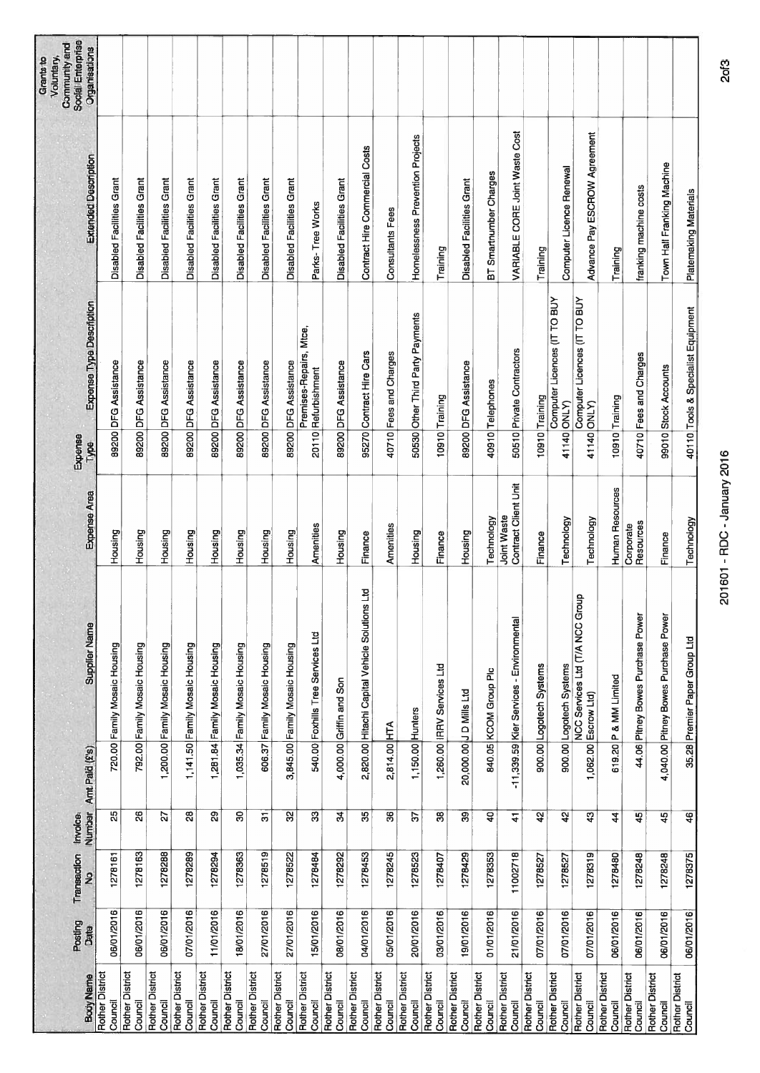| Social Enterprise<br>Community and<br>Organisations<br>Voluntary,<br><b>Grants</b> to |                                   |                              |                                   |                                  |                                   |                                   |                                   |                                   |                                                |                                   |                                                |                                   |                                   |                                   |                                   |                                   |                                          |                                   |                                   |                                                              |                            |                                   |                                      |                                    |
|---------------------------------------------------------------------------------------|-----------------------------------|------------------------------|-----------------------------------|----------------------------------|-----------------------------------|-----------------------------------|-----------------------------------|-----------------------------------|------------------------------------------------|-----------------------------------|------------------------------------------------|-----------------------------------|-----------------------------------|-----------------------------------|-----------------------------------|-----------------------------------|------------------------------------------|-----------------------------------|-----------------------------------|--------------------------------------------------------------|----------------------------|-----------------------------------|--------------------------------------|------------------------------------|
| <b>Extended Description</b>                                                           | Disabled Facilities Grant         | Disabled Facilities Grant    | <b>Disabled Facilities Grant</b>  | <b>Disabled Facilities Grant</b> | Disabled Facilities Grant         | Disabled Facilities Grant         | <b>Disabled Facilities Grant</b>  | <b>Disabled Facilities Grant</b>  | Parks-Tree Works                               | Disabled Facilities Grant         | Contract Hire Commercial Costs                 | <b>Consultants Fees</b>           | Homelessness Prevention Projects  | Training                          | <b>Disabled Facilities Grant</b>  | BT Smartnumber Charges            | VARIABLE CORE Joint Waste Cost           | Training                          | Computer Licence Renewal          | Advance Pay ESCROW Agreement                                 | Training                   | franking machine costs            | Town Hall Franking Machine           | Platemaking Materials              |
| Expense Type Description                                                              | 89200 DFG Assistance              | 89200 DFG Assistance         | 89200 DFG Assistance              | 89200 DFG Assistance             | 89200 DFG Assistance              | 89200 DFG Assistance              | 89200 DFG Assistance              | 89200 DFG Assistance              | Premises-Repairs, Mtce,<br>20110 Returbishment | 89200 DFG Assistance              | 95270 Contract Hire Cars                       | 40710 Fees and Charges            | 50530 Other Third Party Payments  | 10910 Training                    | 89200 DFG Assistance              | 40910 Telephones                  | 50510 Private Contractors                | 10910 Training                    | Computer Licences (IT TO BUY      | Computer Licences (IT TO BUY                                 | 10910 Training             | 40710 Fees and Charges            | 99010 Stock Accounts                 | 40110 Tools & Specialist Equipment |
| Expense<br>Type                                                                       |                                   |                              |                                   |                                  |                                   |                                   |                                   |                                   |                                                |                                   |                                                |                                   |                                   |                                   |                                   |                                   |                                          |                                   | 41140 ONLY)                       | 41140 ONLY                                                   |                            |                                   |                                      |                                    |
| Expense Area                                                                          | Housing                           | Housing                      | Housing                           | Housing                          | Housing                           | Housing                           | Housing                           | Housing                           | Amenities                                      | Housing                           | Finance                                        | Amenities                         | Housing                           | Finance                           | Housing                           | Technology                        | Contract Client Unit<br>Joint Waste      | Finance                           | Technology                        | Technology                                                   | Human Resources            | Resources<br>Corporate            | Finance                              | Technology                         |
| <b>Supplier Name</b>                                                                  | 720.00 Family Mosaic Housing      | 792.00 Family Mosaic Housing | 1,200.00 Family Mosaic Housing    | 1,141.50 Family Mosaic Housing   | 1,281.84 Family Mosaic Housing    | Family Mosaic Housing             | 606.37 Family Mosaic Housing      | 3,845.00 Family Mosaic Housing    | 540.00 Foxhills Tree Services Ltd              | 4,000.00 Griffin and Son          | 2,820.00 Hitachi Capital Vehicle Solutions Ltd |                                   |                                   | 1,260.00 RRV Services Ltd         | 20,000.00 J D Mills Ltd           | 840.05 KCOM Group Plc             | -11,339.59 Kier Services - Environmental | 900.00 Logotech Systems           | 900.00 Logotech Systems           | ο<br>NCC Services Ltd (T/A NCC Group<br>1,062.00 Escrow Ltd) | 619.20 P & MM Limited      | 44.06 Pitney Bowes Purchase Power | 4,040.00 Pitney Bowes Purchase Power | 35.28 Premier Paper Group Ltd      |
| Amt Paid (£'s)                                                                        |                                   |                              |                                   |                                  |                                   | 1,035.34                          |                                   |                                   |                                                |                                   |                                                | 2,814.00 HTA                      | 1,150.00 Hunters                  |                                   |                                   |                                   |                                          |                                   |                                   |                                                              |                            |                                   |                                      |                                    |
| Number<br>Invoice.                                                                    | $\overline{\mathbb{E}}$           | $\overline{26}$              | 22                                | 28                               | 29                                | ೫                                 | $\overline{\omega}$               | $\overline{3}$                    | ౢ                                              | z                                 | $\overline{\mathcal{E}}$                       | 36                                | 55                                | 8                                 | 8                                 | $\overline{a}$                    | $\frac{1}{4}$                            | 42                                | 42                                | $\overline{3}$                                               | 4                          | 45                                | 45                                   | $\overline{\mathbf{a}}$            |
| Transaction<br>$\frac{9}{2}$                                                          | 1278161                           | 1278163                      | 1278288                           | 1278289                          | 1278294                           | 1278363                           | 1278519                           | 1278522                           | 1278484                                        | 1278292                           | 1278453                                        | 1278245                           | 1278523                           | 1278407                           | 1278429                           | 1278353                           | 11002718                                 | 1278527                           | 1278527                           | 1278319                                                      | 1278480                    | 1278248                           | 1278248                              | 1278375                            |
| Posting<br>Date                                                                       | 06/01/2016                        | 06/01/2016                   | 06/01/2016                        | 07/01/2016                       | 11/01/2016                        | 18/01/2016                        | 27/01/2016                        | 27/01/2016                        | 15/01/2016                                     | 08/01/2016                        | 04/01/2016                                     | 05/01/2016                        | 20/01/2016                        | 03/01/2016                        | 19/01/2016                        | 01/01/2016                        | 21/01/2016                               | 07/01/2016                        | 07/01/2016                        | 07/01/2016                                                   | 06/01/2016                 | 06/01/2016                        | 06/01/2016                           | 06/01/2016                         |
| <b>Body Name</b>                                                                      | <b>Rother District</b><br>Council | Rother District<br>Council   | <b>Rother District</b><br>Council | Rother District<br>Council       | <b>Rother District</b><br>Council | <b>Rother District</b><br>Council | <b>Rother District</b><br>Council | <b>Rother District</b><br>Council | <b>Rother District</b><br>Council              | <b>Rother District</b><br>Council | <b>Rother District</b><br>Council              | <b>Rother District</b><br>Council | <b>Rother District</b><br>Council | <b>Rother District</b><br>Council | <b>Rother District</b><br>Council | <b>Rother District</b><br>Council | <b>Rother District</b><br>Council        | <b>Rother District</b><br>Council | <b>Rother District</b><br>Council | Rother District<br>Council                                   | Rother District<br>Council | <b>Rother District</b><br>Council | Rother District<br>Council           | <b>Rother District</b><br>Council  |

**2of3**